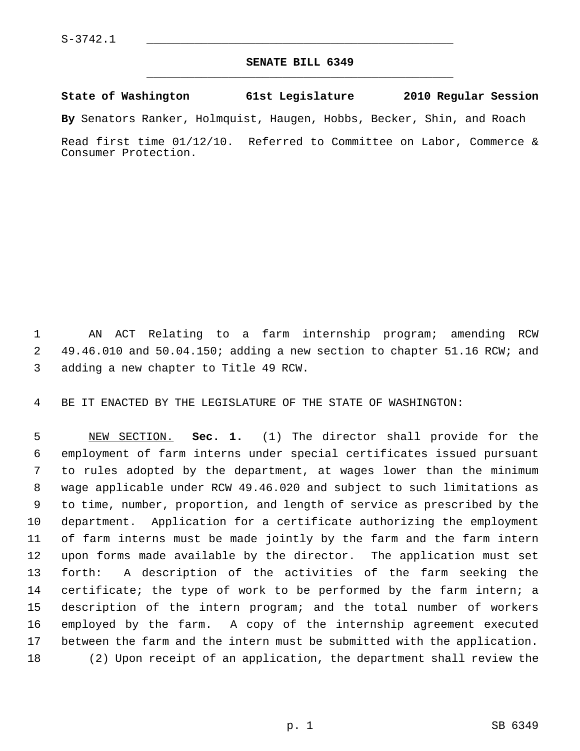## **SENATE BILL 6349** \_\_\_\_\_\_\_\_\_\_\_\_\_\_\_\_\_\_\_\_\_\_\_\_\_\_\_\_\_\_\_\_\_\_\_\_\_\_\_\_\_\_\_\_\_

## **State of Washington 61st Legislature 2010 Regular Session**

**By** Senators Ranker, Holmquist, Haugen, Hobbs, Becker, Shin, and Roach

Read first time 01/12/10. Referred to Committee on Labor, Commerce & Consumer Protection.

 1 AN ACT Relating to a farm internship program; amending RCW 2 49.46.010 and 50.04.150; adding a new section to chapter 51.16 RCW; and 3 adding a new chapter to Title 49 RCW.

4 BE IT ENACTED BY THE LEGISLATURE OF THE STATE OF WASHINGTON:

 5 NEW SECTION. **Sec. 1.** (1) The director shall provide for the 6 employment of farm interns under special certificates issued pursuant 7 to rules adopted by the department, at wages lower than the minimum 8 wage applicable under RCW 49.46.020 and subject to such limitations as 9 to time, number, proportion, and length of service as prescribed by the 10 department. Application for a certificate authorizing the employment 11 of farm interns must be made jointly by the farm and the farm intern 12 upon forms made available by the director. The application must set 13 forth: A description of the activities of the farm seeking the 14 certificate; the type of work to be performed by the farm intern; a 15 description of the intern program; and the total number of workers 16 employed by the farm. A copy of the internship agreement executed 17 between the farm and the intern must be submitted with the application. 18 (2) Upon receipt of an application, the department shall review the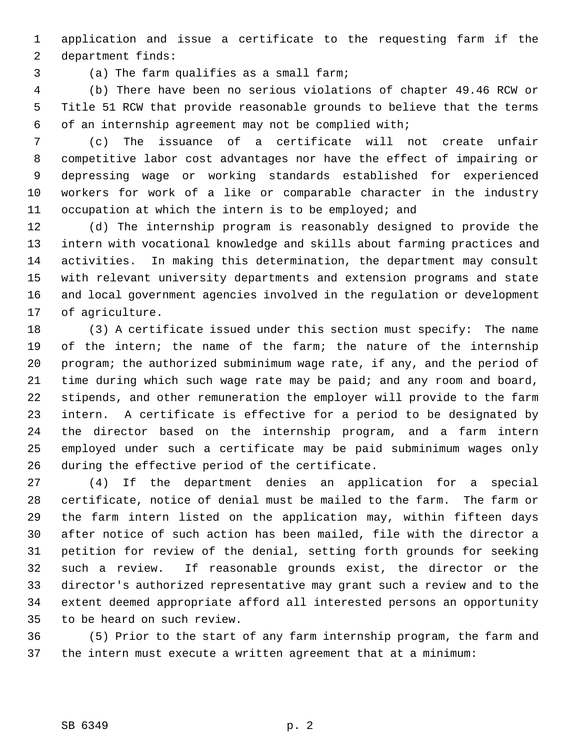1 application and issue a certificate to the requesting farm if the 2 department finds:

3 (a) The farm qualifies as a small farm;

 4 (b) There have been no serious violations of chapter 49.46 RCW or 5 Title 51 RCW that provide reasonable grounds to believe that the terms 6 of an internship agreement may not be complied with;

 7 (c) The issuance of a certificate will not create unfair 8 competitive labor cost advantages nor have the effect of impairing or 9 depressing wage or working standards established for experienced 10 workers for work of a like or comparable character in the industry 11 occupation at which the intern is to be employed; and

12 (d) The internship program is reasonably designed to provide the 13 intern with vocational knowledge and skills about farming practices and 14 activities. In making this determination, the department may consult 15 with relevant university departments and extension programs and state 16 and local government agencies involved in the regulation or development 17 of agriculture.

18 (3) A certificate issued under this section must specify: The name 19 of the intern; the name of the farm; the nature of the internship 20 program; the authorized subminimum wage rate, if any, and the period of 21 time during which such wage rate may be paid; and any room and board, 22 stipends, and other remuneration the employer will provide to the farm 23 intern. A certificate is effective for a period to be designated by 24 the director based on the internship program, and a farm intern 25 employed under such a certificate may be paid subminimum wages only 26 during the effective period of the certificate.

27 (4) If the department denies an application for a special 28 certificate, notice of denial must be mailed to the farm. The farm or 29 the farm intern listed on the application may, within fifteen days 30 after notice of such action has been mailed, file with the director a 31 petition for review of the denial, setting forth grounds for seeking 32 such a review. If reasonable grounds exist, the director or the 33 director's authorized representative may grant such a review and to the 34 extent deemed appropriate afford all interested persons an opportunity 35 to be heard on such review.

36 (5) Prior to the start of any farm internship program, the farm and 37 the intern must execute a written agreement that at a minimum: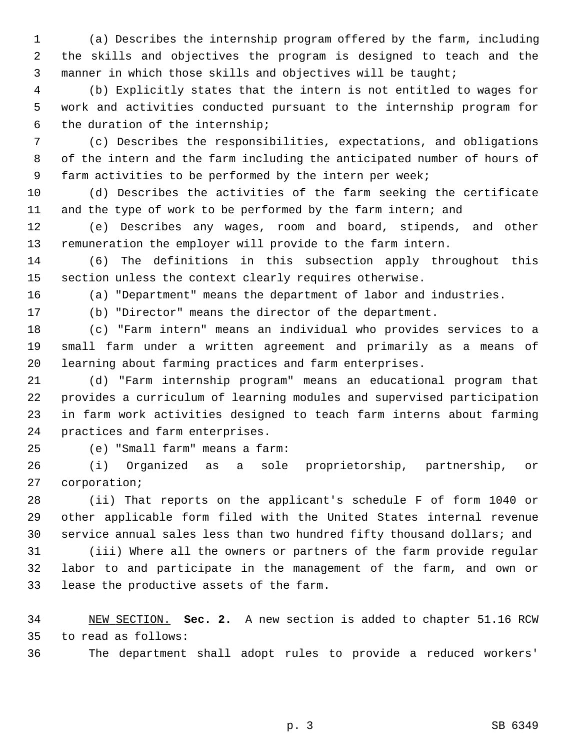1 (a) Describes the internship program offered by the farm, including 2 the skills and objectives the program is designed to teach and the 3 manner in which those skills and objectives will be taught;

 4 (b) Explicitly states that the intern is not entitled to wages for 5 work and activities conducted pursuant to the internship program for 6 the duration of the internship;

 7 (c) Describes the responsibilities, expectations, and obligations 8 of the intern and the farm including the anticipated number of hours of 9 farm activities to be performed by the intern per week;

10 (d) Describes the activities of the farm seeking the certificate 11 and the type of work to be performed by the farm intern; and

12 (e) Describes any wages, room and board, stipends, and other 13 remuneration the employer will provide to the farm intern.

14 (6) The definitions in this subsection apply throughout this 15 section unless the context clearly requires otherwise.

16 (a) "Department" means the department of labor and industries.

17 (b) "Director" means the director of the department.

18 (c) "Farm intern" means an individual who provides services to a 19 small farm under a written agreement and primarily as a means of 20 learning about farming practices and farm enterprises.

21 (d) "Farm internship program" means an educational program that 22 provides a curriculum of learning modules and supervised participation 23 in farm work activities designed to teach farm interns about farming 24 practices and farm enterprises.

25 (e) "Small farm" means a farm:

26 (i) Organized as a sole proprietorship, partnership, or 27 corporation;

28 (ii) That reports on the applicant's schedule F of form 1040 or 29 other applicable form filed with the United States internal revenue 30 service annual sales less than two hundred fifty thousand dollars; and

31 (iii) Where all the owners or partners of the farm provide regular 32 labor to and participate in the management of the farm, and own or 33 lease the productive assets of the farm.

34 NEW SECTION. **Sec. 2.** A new section is added to chapter 51.16 RCW 35 to read as follows:

36 The department shall adopt rules to provide a reduced workers'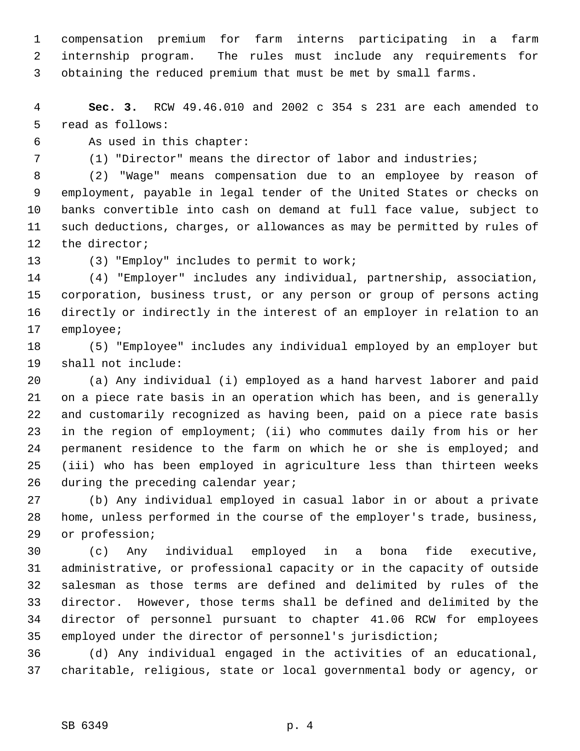1 compensation premium for farm interns participating in a farm 2 internship program. The rules must include any requirements for 3 obtaining the reduced premium that must be met by small farms.

 4 **Sec. 3.** RCW 49.46.010 and 2002 c 354 s 231 are each amended to 5 read as follows:

6 As used in this chapter:

7 (1) "Director" means the director of labor and industries;

 8 (2) "Wage" means compensation due to an employee by reason of 9 employment, payable in legal tender of the United States or checks on 10 banks convertible into cash on demand at full face value, subject to 11 such deductions, charges, or allowances as may be permitted by rules of 12 the director;

13 (3) "Employ" includes to permit to work;

14 (4) "Employer" includes any individual, partnership, association, 15 corporation, business trust, or any person or group of persons acting 16 directly or indirectly in the interest of an employer in relation to an 17 employee;

18 (5) "Employee" includes any individual employed by an employer but 19 shall not include:

20 (a) Any individual (i) employed as a hand harvest laborer and paid 21 on a piece rate basis in an operation which has been, and is generally 22 and customarily recognized as having been, paid on a piece rate basis 23 in the region of employment; (ii) who commutes daily from his or her 24 permanent residence to the farm on which he or she is employed; and 25 (iii) who has been employed in agriculture less than thirteen weeks 26 during the preceding calendar year;

27 (b) Any individual employed in casual labor in or about a private 28 home, unless performed in the course of the employer's trade, business, 29 or profession;

30 (c) Any individual employed in a bona fide executive, 31 administrative, or professional capacity or in the capacity of outside 32 salesman as those terms are defined and delimited by rules of the 33 director. However, those terms shall be defined and delimited by the 34 director of personnel pursuant to chapter 41.06 RCW for employees 35 employed under the director of personnel's jurisdiction;

36 (d) Any individual engaged in the activities of an educational, 37 charitable, religious, state or local governmental body or agency, or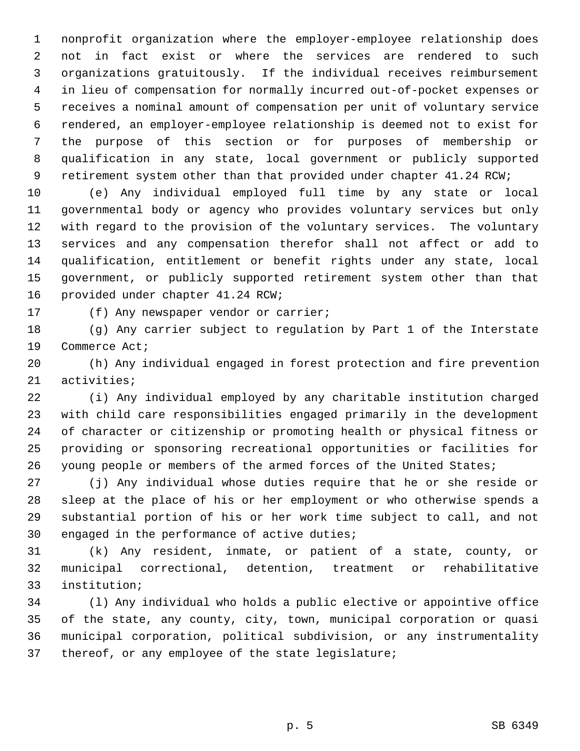1 nonprofit organization where the employer-employee relationship does 2 not in fact exist or where the services are rendered to such 3 organizations gratuitously. If the individual receives reimbursement 4 in lieu of compensation for normally incurred out-of-pocket expenses or 5 receives a nominal amount of compensation per unit of voluntary service 6 rendered, an employer-employee relationship is deemed not to exist for 7 the purpose of this section or for purposes of membership or 8 qualification in any state, local government or publicly supported 9 retirement system other than that provided under chapter 41.24 RCW;

10 (e) Any individual employed full time by any state or local 11 governmental body or agency who provides voluntary services but only 12 with regard to the provision of the voluntary services. The voluntary 13 services and any compensation therefor shall not affect or add to 14 qualification, entitlement or benefit rights under any state, local 15 government, or publicly supported retirement system other than that 16 provided under chapter 41.24 RCW;

17 (f) Any newspaper vendor or carrier;

18 (g) Any carrier subject to regulation by Part 1 of the Interstate 19 Commerce Act;

20 (h) Any individual engaged in forest protection and fire prevention 21 activities;

22 (i) Any individual employed by any charitable institution charged 23 with child care responsibilities engaged primarily in the development 24 of character or citizenship or promoting health or physical fitness or 25 providing or sponsoring recreational opportunities or facilities for 26 young people or members of the armed forces of the United States;

27 (j) Any individual whose duties require that he or she reside or 28 sleep at the place of his or her employment or who otherwise spends a 29 substantial portion of his or her work time subject to call, and not 30 engaged in the performance of active duties;

31 (k) Any resident, inmate, or patient of a state, county, or 32 municipal correctional, detention, treatment or rehabilitative 33 institution;

34 (l) Any individual who holds a public elective or appointive office 35 of the state, any county, city, town, municipal corporation or quasi 36 municipal corporation, political subdivision, or any instrumentality 37 thereof, or any employee of the state legislature;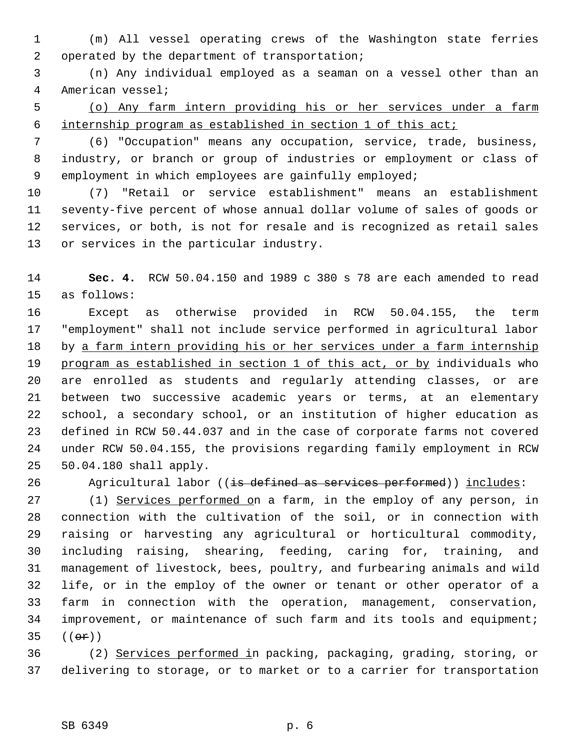- 1 (m) All vessel operating crews of the Washington state ferries 2 operated by the department of transportation;
- 3 (n) Any individual employed as a seaman on a vessel other than an 4 American vessel;
- 5 (o) Any farm intern providing his or her services under a farm 6 internship program as established in section 1 of this act;
- 7 (6) "Occupation" means any occupation, service, trade, business, 8 industry, or branch or group of industries or employment or class of 9 employment in which employees are gainfully employed;

10 (7) "Retail or service establishment" means an establishment 11 seventy-five percent of whose annual dollar volume of sales of goods or 12 services, or both, is not for resale and is recognized as retail sales 13 or services in the particular industry.

14 **Sec. 4.** RCW 50.04.150 and 1989 c 380 s 78 are each amended to read 15 as follows:

16 Except as otherwise provided in RCW 50.04.155, the term 17 "employment" shall not include service performed in agricultural labor 18 by a farm intern providing his or her services under a farm internship 19 program as established in section 1 of this act, or by individuals who 20 are enrolled as students and regularly attending classes, or are 21 between two successive academic years or terms, at an elementary 22 school, a secondary school, or an institution of higher education as 23 defined in RCW 50.44.037 and in the case of corporate farms not covered 24 under RCW 50.04.155, the provisions regarding family employment in RCW 25 50.04.180 shall apply.

26 Agricultural labor ((is defined as services performed)) includes:

27 (1) Services performed on a farm, in the employ of any person, in 28 connection with the cultivation of the soil, or in connection with 29 raising or harvesting any agricultural or horticultural commodity, 30 including raising, shearing, feeding, caring for, training, and 31 management of livestock, bees, poultry, and furbearing animals and wild 32 life, or in the employ of the owner or tenant or other operator of a 33 farm in connection with the operation, management, conservation, 34 improvement, or maintenance of such farm and its tools and equipment; 35  $((e^{e})$ 

36 (2) Services performed in packing, packaging, grading, storing, or 37 delivering to storage, or to market or to a carrier for transportation